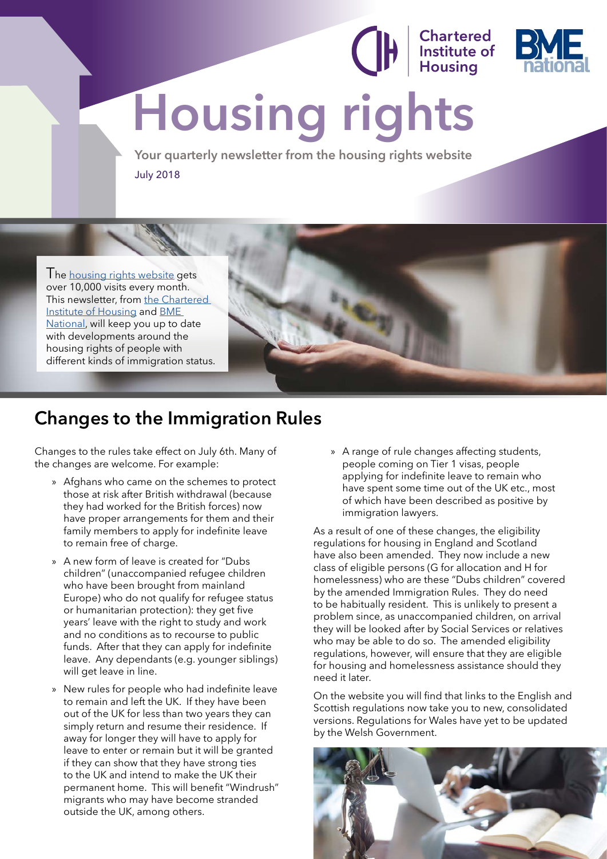# **Housing rights**

**Your quarterly newsletter from the housing rights website** July 2018

I he [housing rights website](http://www.housing-rights.info/index.php) gets over 10,000 visits every month. This newsletter, from [the Chartered](http://www.cih.org)  [Institute of Housing](http://www.cih.org) and [BME](https://bmenational.wordpress.com)  [National,](https://bmenational.wordpress.com) will keep you up to date with developments around the housing rights of people with different kinds of immigration status.



**Chartered<br>Institute of<br>Housing** 

#### **Changes to the Immigration Rules**

Changes to the rules take effect on July 6th. Many of the changes are welcome. For example:

- » Afghans who came on the schemes to protect those at risk after British withdrawal (because they had worked for the British forces) now have proper arrangements for them and their family members to apply for indefinite leave to remain free of charge.
- » A new form of leave is created for "Dubs children" (unaccompanied refugee children who have been brought from mainland Europe) who do not qualify for refugee status or humanitarian protection): they get five years' leave with the right to study and work and no conditions as to recourse to public funds. After that they can apply for indefinite leave. Any dependants (e.g. younger siblings) will get leave in line.
- » New rules for people who had indefinite leave to remain and left the UK. If they have been out of the UK for less than two years they can simply return and resume their residence. If away for longer they will have to apply for leave to enter or remain but it will be granted if they can show that they have strong ties to the UK and intend to make the UK their permanent home. This will benefit "Windrush" migrants who may have become stranded outside the UK, among others.

» A range of rule changes affecting students, people coming on Tier 1 visas, people applying for indefinite leave to remain who have spent some time out of the UK etc., most of which have been described as positive by immigration lawyers.

As a result of one of these changes, the eligibility regulations for housing in England and Scotland have also been amended. They now include a new class of eligible persons (G for allocation and H for homelessness) who are these "Dubs children" covered by the amended Immigration Rules. They do need to be habitually resident. This is unlikely to present a problem since, as unaccompanied children, on arrival they will be looked after by Social Services or relatives who may be able to do so. The amended eligibility regulations, however, will ensure that they are eligible for housing and homelessness assistance should they need it later.

On the website you will find that links to the English and Scottish regulations now take you to new, consolidated versions. Regulations for Wales have yet to be updated by the Welsh Government.

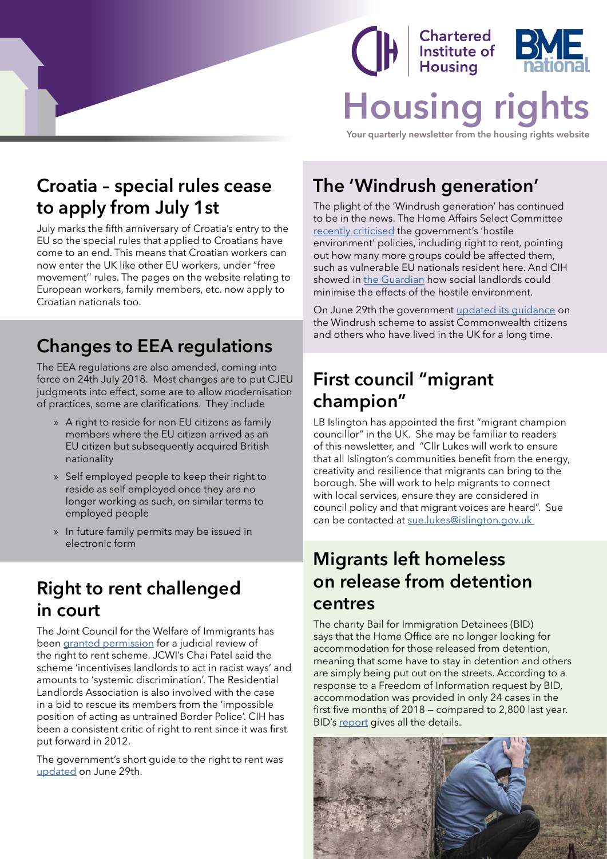### **Chartered<br>Institute of<br>Housing Housing right**

**Your quarterly newsletter from the housing rights website**

#### **Croatia – special rules cease to apply from July 1st**

July marks the fifth anniversary of Croatia's entry to the EU so the special rules that applied to Croatians have come to an end. This means that Croatian workers can now enter the UK like other EU workers, under "free movement'' rules. The pages on the website relating to European workers, family members, etc. now apply to Croatian nationals too.

#### **Changes to EEA regulations**

The EEA regulations are also amended, coming into force on 24th July 2018. Most changes are to put CJEU judgments into effect, some are to allow modernisation of practices, some are clarifications. They include

- » A right to reside for non EU citizens as family members where the EU citizen arrived as an EU citizen but subsequently acquired British nationality
- » Self employed people to keep their right to reside as self employed once they are no longer working as such, on similar terms to employed people
- » In future family permits may be issued in electronic form

#### **Right to rent challenged in court**

The Joint Council for the Welfare of Immigrants has been [granted permission](https://www.theguardian.com/uk-news/2018/jun/06/government-faces-high-court-challenge-right-rent-scheme) for a judicial review of the right to rent scheme. JCWI's Chai Patel said the scheme 'incentivises landlords to act in racist ways' and amounts to 'systemic discrimination'. The Residential Landlords Association is also involved with the case in a bid to rescue its members from the 'impossible position of acting as untrained Border Police'. CIH has been a consistent critic of right to rent since it was first put forward in 2012.

The government's short guide to the right to rent was [updated](https://www.gov.uk/government/publications/landlords-right-to-rent-checks-guide) on June 29th.

#### **The 'Windrush generation'**

The plight of the 'Windrush generation' has continued to be in the news. The Home Affairs Select Committee [recently criticised](https://www.parliament.uk/business/committees/committees-a-z/commons-select/home-affairs-committee/news-parliament-2017/the-windrush-generation-report-published-17-19/) the government's 'hostile environment' policies, including right to rent, pointing out how many more groups could be affected them, such as vulnerable EU nationals resident here. And CIH showed in [the Guardian](https://www.theguardian.com/housing-network/2018/may/30/hostile-environment-what-social-landlords-need-to-know) how social landlords could minimise the effects of the hostile environment.

On June 29th the government [updated its guidance](https://www.gov.uk/government/publications/undocumented-commonwealth-citizens-resident-in-the-uk) on the Windrush scheme to assist Commonwealth citizens and others who have lived in the UK for a long time.

#### **First council "migrant champion"**

LB Islington has appointed the first "migrant champion councillor" in the UK. She may be familiar to readers of this newsletter, and "Cllr Lukes will work to ensure that all Islington's communities benefit from the energy, creativity and resilience that migrants can bring to the borough. She will work to help migrants to connect with local services, ensure they are considered in council policy and that migrant voices are heard". Sue can be contacted at [sue.lukes@islington.gov.uk](mailto:sue.lukes%40islington.gov.uk%20?subject=) 

#### **Migrants left homeless on release from detention centres**

The charity Bail for Immigration Detainees (BID) says that the Home Office are no longer looking for accommodation for those released from detention, meaning that some have to stay in detention and others are simply being put out on the streets. According to a response to a Freedom of Information request by BID, accommodation was provided in only 24 cases in the first five months of 2018 — compared to 2,800 last year. BID's [report](http://hubble-live-assets.s3.amazonaws.com/biduk/redactor2_assets/files/654/Briefing_-_Accommodation_Post_Detention.pdf) gives all the details.

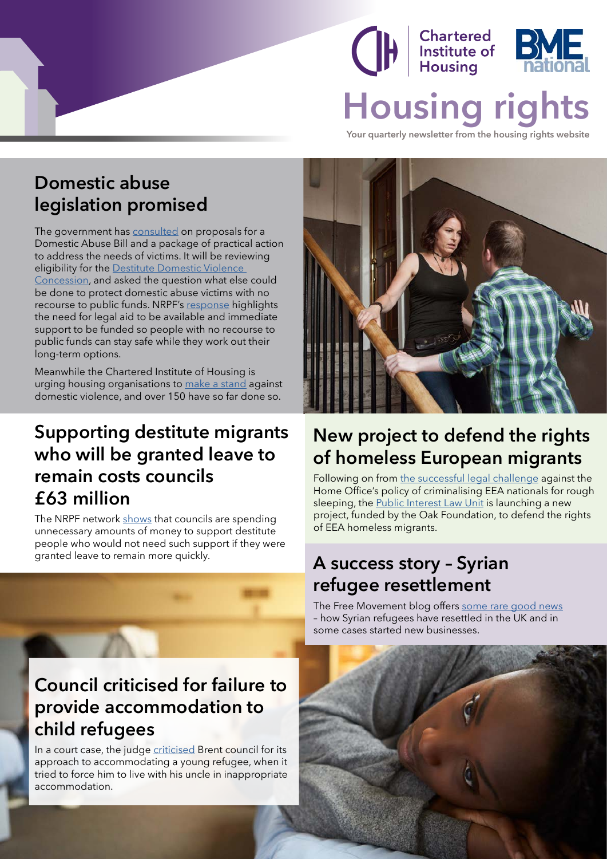## **Chartered<br>Institute of<br>Housing Housing rights**

**Your quarterly newsletter from the housing rights website**

#### **Domestic abuse legislation promised**

The government has [consulted](https://www.gov.uk/government/consultations/domestic-abuse-bill-consultation) on proposals for a Domestic Abuse Bill and a package of practical action to address the needs of victims. It will be reviewing eligibility for the [Destitute Domestic Violence](http://www.housing-rights.info/03_10_Women.php)  [Concession](http://www.housing-rights.info/03_10_Women.php), and asked the question what else could be done to protect domestic abuse victims with no recourse to public funds. NRPF's [response](http://www.nrpfnetwork.org.uk/Documents/domestic-abuse-bill.pdf) highlights the need for legal aid to be available and immediate support to be funded so people with no recourse to public funds can stay safe while they work out their long-term options.

Meanwhile the Chartered Institute of Housing is urging housing organisations to [make a stand](http://www.cih.org/makeastand) against domestic violence, and over 150 have so far done so.

#### **Supporting destitute migrants who will be granted leave to remain costs councils £63 million**

The NRPF network [shows](http://www.nrpfnetwork.org.uk/News/Pages/NRPF-data-2018.aspx) that councils are spending unnecessary amounts of money to support destitute people who would not need such support if they were



In a court case, the judge [criticised](https://www.freemovement.org.uk/council-criticised-for-failure-to-provide-accommodation-to-child-refugees/) Brent council for its approach to accommodating a young refugee, when it tried to force him to live with his uncle in inappropriate accommodation.



#### **New project to defend the rights of homeless European migrants**

Following on from [the successful legal challenge](https://migrantsrights.org.uk/blog/2017/12/18/high-court-rules-detention-deportation-eu-citizens-illegal/) against the Home Office's policy of criminalising EEA nationals for rough sleeping, the [Public Interest Law Unit](http://www.pilu.org.uk/public-law/) is launching a new project, funded by the Oak Foundation, to defend the rights of EEA homeless migrants.

#### granted leave to remain more quickly. **A success story - Syrian refugee resettlement**

The Free Movement blog offers [some rare good news](https://www.freemovement.org.uk/comment-success-of-syrian-refugee-resettlement-shows-that-the-home-office-can-get-it-right/) – how Syrian refugees have resettled in the UK and in some cases started new businesses.

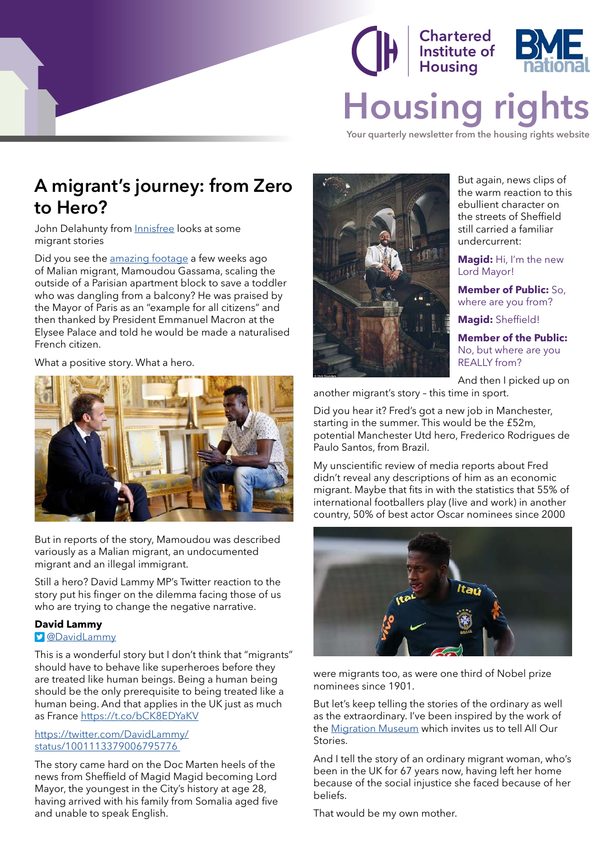#### Chartered **Charleted**<br>Institute of **Housing Housing right**

**Your quarterly newsletter from the housing rights website**

#### **A migrant's journey: from Zero to Hero?**

John Delahunty from *Innisfree* looks at some migrant stories

Did you see the [amazing footage](https://www.youtube.com/watch?v=ltXjvpjpo2I) a few weeks ago of Malian migrant, Mamoudou Gassama, scaling the outside of a Parisian apartment block to save a toddler who was dangling from a balcony? He was praised by the Mayor of Paris as an "example for all citizens" and then thanked by President Emmanuel Macron at the Elysee Palace and told he would be made a naturalised French citizen.

What a positive story. What a hero.



But in reports of the story, Mamoudou was described variously as a Malian migrant, an undocumented migrant and an illegal immigrant.

Still a hero? David Lammy MP's Twitter reaction to the story put his finger on the dilemma facing those of us who are trying to change the negative narrative.

#### **David Lammy**

[@DavidLammy](https://twitter.com/davidlammy?s=11)

This is a wonderful story but I don't think that "migrants" should have to behave like superheroes before they are treated like human beings. Being a human being should be the only prerequisite to being treated like a human being. And that applies in the UK just as much as France<https://t.co/bCK8EDYaKV>

#### [https://twitter.com/DavidLammy/](https://twitter.com/DavidLammy/status/1001113379006795776) [status/1001113379006795776](https://twitter.com/DavidLammy/status/1001113379006795776)

The story came hard on the Doc Marten heels of the news from Sheffield of Magid Magid becoming Lord Mayor, the youngest in the City's history at age 28, having arrived with his family from Somalia aged five and unable to speak English.



But again, news clips of the warm reaction to this ebullient character on the streets of Sheffield still carried a familiar undercurrent:

**Magid:** Hi, I'm the new Lord Mayor!

**Member of Public:** So, where are you from?

**Magid:** Sheffield!

**Member of the Public:** No, but where are you REALLY from?

And then I picked up on

another migrant's story – this time in sport.

Did you hear it? Fred's got a new job in Manchester, starting in the summer. This would be the £52m, potential Manchester Utd hero, Frederico Rodrigues de Paulo Santos, from Brazil.

My unscientific review of media reports about Fred didn't reveal any descriptions of him as an economic migrant. Maybe that fits in with the statistics that 55% of international footballers play (live and work) in another country, 50% of best actor Oscar nominees since 2000



were migrants too, as were one third of Nobel prize nominees since 1901.

But let's keep telling the stories of the ordinary as well as the extraordinary. I've been inspired by the work of the [Migration Museum](http://www.migrationmuseum.org) which invites us to tell All Our Stories.

And I tell the story of an ordinary migrant woman, who's been in the UK for 67 years now, having left her home because of the social injustice she faced because of her beliefs.

That would be my own mother.